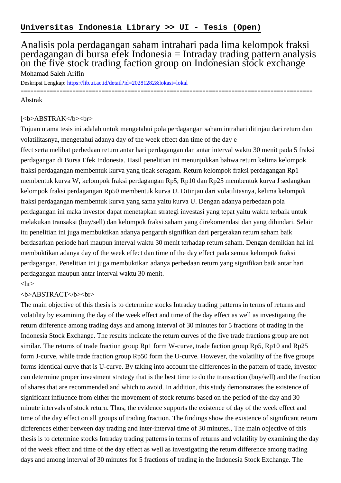# Analisis pola perdagangan saham intrahari pada lima kelompok fraksi perdagangan di bursa efek Indonesia = Intraday trading pattern analysis on the five stock trading faction group on Indonesian stock exchange Mohamad Saleh Arifin

Deskripsi Lengkap:<https://lib.ui.ac.id/detail?id=20281282&lokasi=lokal>

------------------------------------------------------------------------------------------

#### Abstrak

### [<b>ABSTRAK</b><br/>shr>

Tujuan utama tesis ini adalah untuk mengetahui pola perdagangan saham intrahari ditinjau dari return dan volatilitasnya, mengetahui adanya day of the week effect dan time of the day e

ffect serta melihat perbedaan return antar hari perdagangan dan antar interval waktu 30 menit pada 5 fraksi perdagangan di Bursa Efek Indonesia. Hasil penelitian ini menunjukkan bahwa return kelima kelompok fraksi perdagangan membentuk kurva yang tidak seragam. Return kelompok fraksi perdagangan Rp1 membentuk kurva W, kelompok fraksi perdagangan Rp5, Rp10 dan Rp25 membentuk kurva J sedangkan kelompok fraksi perdagangan Rp50 membentuk kurva U. Ditinjau dari volatilitasnya, kelima kelompok fraksi perdagangan membentuk kurva yang sama yaitu kurva U. Dengan adanya perbedaan pola perdagangan ini maka investor dapat menetapkan strategi investasi yang tepat yaitu waktu terbaik untuk melakukan transaksi (buy/sell) dan kelompok fraksi saham yang direkomendasi dan yang dihindari. Selain itu penelitian ini juga membuktikan adanya pengaruh signifikan dari pergerakan return saham baik berdasarkan periode hari maupun interval waktu 30 menit terhadap return saham. Dengan demikian hal ini membuktikan adanya day of the week effect dan time of the day effect pada semua kelompok fraksi perdagangan. Penelitian ini juga membuktikan adanya perbedaan return yang signifikan baik antar hari perdagangan maupun antar interval waktu 30 menit.

## $\langle$ hr $>$

## <b>ABSTRACT</b><br>

The main objective of this thesis is to determine stocks Intraday trading patterns in terms of returns and volatility by examining the day of the week effect and time of the day effect as well as investigating the return difference among trading days and among interval of 30 minutes for 5 fractions of trading in the Indonesia Stock Exchange. The results indicate the return curves of the five trade fractions group are not similar. The returns of trade fraction group Rp1 form W-curve, trade faction group Rp5, Rp10 and Rp25 form J-curve, while trade fraction group Rp50 form the U-curve. However, the volatility of the five groups forms identical curve that is U-curve. By taking into account the differences in the pattern of trade, investor can determine proper investment strategy that is the best time to do the transaction (buy/sell) and the fraction of shares that are recommended and which to avoid. In addition, this study demonstrates the existence of significant influence from either the movement of stock returns based on the period of the day and 30 minute intervals of stock return. Thus, the evidence supports the existence of day of the week effect and time of the day effect on all groups of trading fraction. The findings show the existence of significant return differences either between day trading and inter-interval time of 30 minutes., The main objective of this thesis is to determine stocks Intraday trading patterns in terms of returns and volatility by examining the day of the week effect and time of the day effect as well as investigating the return difference among trading days and among interval of 30 minutes for 5 fractions of trading in the Indonesia Stock Exchange. The